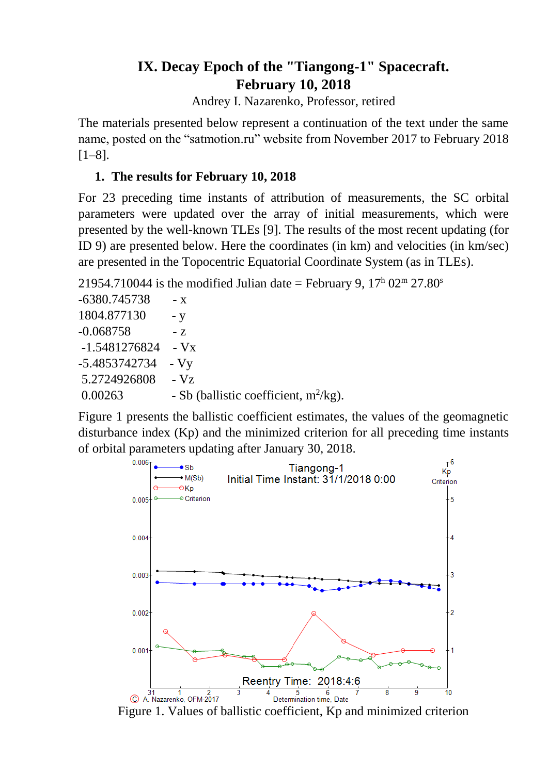# **IX. Decay Epoch of the "Tiangong-1" Spacecraft. February 10, 2018**

Andrey I. Nazarenko, Professor, retired

The materials presented below represent a continuation of the text under the same name, posted on the "satmotion.ru" website from November 2017 to February 2018 [1–8].

## **1. The results for February 10, 2018**

For 23 preceding time instants of attribution of measurements, the SC orbital parameters were updated over the array of initial measurements, which were presented by the well-known TLEs [9]. The results of the most recent updating (for ID 9) are presented below. Here the coordinates (in km) and velocities (in km/sec) are presented in the Topocentric Equatorial Coordinate System (as in TLEs).

21954.710044 is the modified Julian date = February 9,  $17<sup>h</sup>$  02<sup>m</sup> 27.80<sup>s</sup>

 $-6380.745738 - x$ 1804.877130 - y  $-0.068758$   $-z$ -1.5481276824 - Vx -5.4853742734 - Vy 5.2724926808 - Vz  $0.00263$  - Sb (ballistic coefficient, m<sup>2</sup>/kg).

Figure 1 presents the ballistic coefficient estimates, the values of the geomagnetic disturbance index (Kp) and the minimized criterion for all preceding time instants of orbital parameters updating after January 30, 2018.



Figure 1. Values of ballistic coefficient, Kp and minimized criterion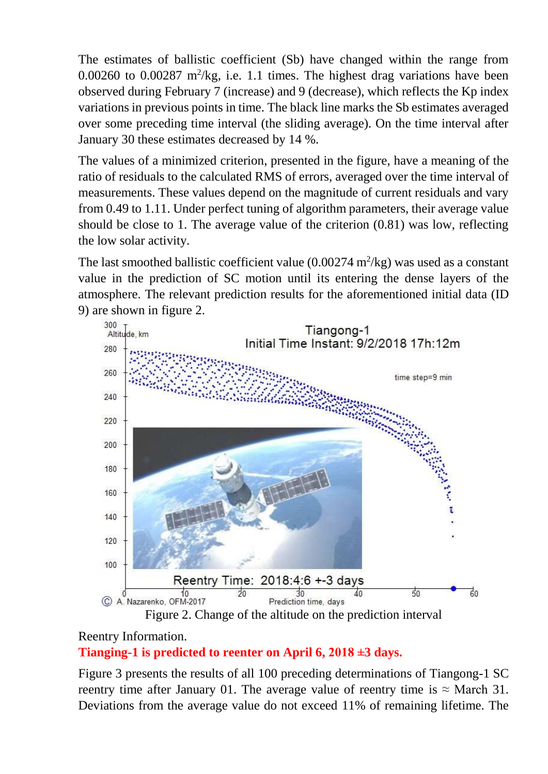The estimates of ballistic coefficient (Sb) have changed within the range from  $0.00260$  to  $0.00287$  m<sup>2</sup>/kg, i.e. 1.1 times. The highest drag variations have been observed during February 7 (increase) and 9 (decrease), which reflects the Kp index variations in previous points in time. The black line marks the Sb estimates averaged over some preceding time interval (the sliding average). On the time interval after January 30 these estimates decreased by 14 %.

The values of a minimized criterion, presented in the figure, have a meaning of the ratio of residuals to the calculated RMS of errors, averaged over the time interval of measurements. These values depend on the magnitude of current residuals and vary from 0.49 to 1.11. Under perfect tuning of algorithm parameters, their average value should be close to 1. The average value of the criterion (0.81) was low, reflecting the low solar activity.

The last smoothed ballistic coefficient value  $(0.00274 \text{ m}^2/\text{kg})$  was used as a constant value in the prediction of SC motion until its entering the dense layers of the atmosphere. The relevant prediction results for the aforementioned initial data (ID 9) are shown in figure 2.



## Reentry Information.

## **Tianging-1 is predicted to reenter on April 6, 2018 ±3 days.**

Figure 3 presents the results of all 100 preceding determinations of Tiangong-1 SC reentry time after January 01. The average value of reentry time is  $\approx$  March 31. Deviations from the average value do not exceed 11% of remaining lifetime. The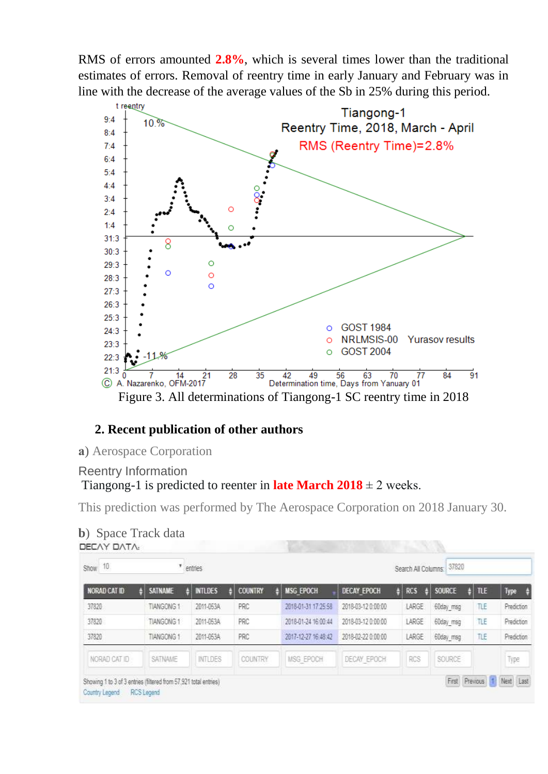RMS of errors amounted **2.8%**, which is several times lower than the traditional estimates of errors. Removal of reentry time in early January and February was in line with the decrease of the average values of the Sb in 25% during this period.



## **2. Recent publication of other authors**

**а**) Aerospace Corporation

### Reentry Information Tiangong-1 is predicted to reenter in **late March 2018**  $\pm$  2 weeks.

This prediction was performed by The Aerospace Corporation on 2018 January 30.

| NORAD CAT ID | <b>SATNAME</b>   | <b>INTLDES</b> | <b>COUNTRY</b> | <b>MSG EPOCH</b>    | <b>DECAY EPOCH</b> | <b>RCS</b><br>д | <b>SOURCE</b> | <b>TLE</b> | Type<br>$\rightarrow$ |
|--------------|------------------|----------------|----------------|---------------------|--------------------|-----------------|---------------|------------|-----------------------|
| 37820        | <b>TIANGONG1</b> | 2011-053A      | PRC            | 2018-01-31 17:25:58 | 2018-03-12 0:00:00 | LARGE           | 60day_msg     | TLE        | Prediction            |
| 37820        | <b>TIANGONG1</b> | 2011-053A      | PRC            | 2018-01-24 16:00:44 | 2018-03-12 0:00:00 | LARGE           | 60day msq     | TLE        | Prediction            |
| 37820        | <b>TIANGONG1</b> | 2011-063A      | PRC            | 2017-12-27 16:48:42 | 2018-02-22 0:00:00 | LARGE           | 60day_msg     | TLE        | Prediction            |
| NORAD CAT ID | SATNAME          | <b>INTLDES</b> | <b>COUNTRY</b> | MSG EPOCH           | DECAY EPOCH        | RCS             | SOURCE        |            | Type                  |

| <b>b</b> ) Space Track data |  |
|-----------------------------|--|
| DEEAV DATA                  |  |